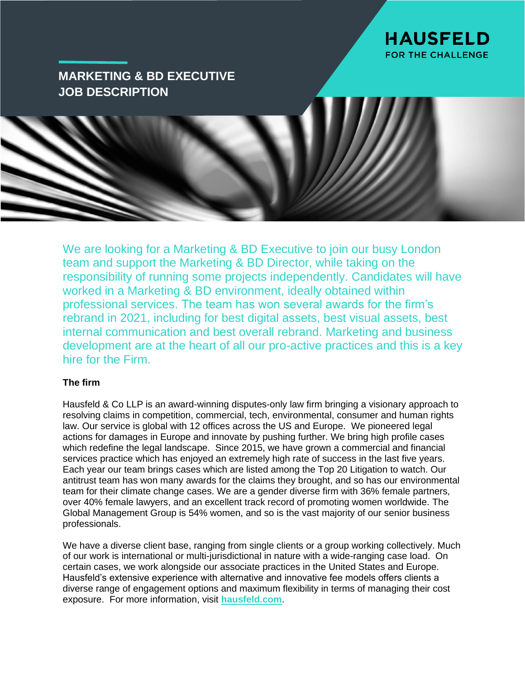

# **MARKETING & BD EXECUTIVE JOB DESCRIPTION**

We are looking for a Marketing & BD Executive to join our busy London team and support the Marketing & BD Director, while taking on the responsibility of running some projects independently. Candidates will have worked in a Marketing & BD environment, ideally obtained within professional services. The team has won several awards for the firm's rebrand in 2021, including for best digital assets, best visual assets, best internal communication and best overall rebrand. Marketing and business development are at the heart of all our pro-active practices and this is a key hire for the Firm.

## **The firm**

Hausfeld & Co LLP is an award-winning disputes-only law firm bringing a visionary approach to resolving claims in competition, commercial, tech, environmental, consumer and human rights law. Our service is global with 12 offices across the US and Europe. We pioneered legal actions for damages in Europe and innovate by pushing further. We bring high profile cases which redefine the legal landscape. Since 2015, we have grown a commercial and financial services practice which has enjoyed an extremely high rate of success in the last five years. Each year our team brings cases which are listed among the Top 20 Litigation to watch. Our antitrust team has won many awards for the claims they brought, and so has our environmental team for their climate change cases. We are a gender diverse firm with 36% female partners, over 40% female lawyers, and an excellent track record of promoting women worldwide. The Global Management Group is 54% women, and so is the vast majority of our senior business professionals.

We have a diverse client base, ranging from single clients or a group working collectively. Much of our work is international or multi-jurisdictional in nature with a wide-ranging case load. On certain cases, we work alongside our associate practices in the United States and Europe. Hausfeld's extensive experience with alternative and innovative fee models offers clients a diverse range of engagement options and maximum flexibility in terms of managing their cost exposure. For more information, visit **[hausfeld.com](http://www.hausfeld.com/)**.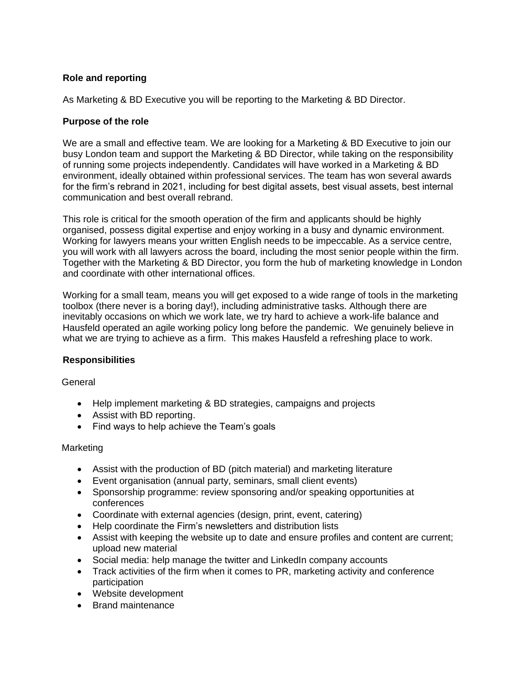# **Role and reporting**

As Marketing & BD Executive you will be reporting to the Marketing & BD Director.

# **Purpose of the role**

We are a small and effective team. We are looking for a Marketing & BD Executive to join our busy London team and support the Marketing & BD Director, while taking on the responsibility of running some projects independently. Candidates will have worked in a Marketing & BD environment, ideally obtained within professional services. The team has won several awards for the firm's rebrand in 2021, including for best digital assets, best visual assets, best internal communication and best overall rebrand.

This role is critical for the smooth operation of the firm and applicants should be highly organised, possess digital expertise and enjoy working in a busy and dynamic environment. Working for lawyers means your written English needs to be impeccable. As a service centre, you will work with all lawyers across the board, including the most senior people within the firm. Together with the Marketing & BD Director, you form the hub of marketing knowledge in London and coordinate with other international offices.

Working for a small team, means you will get exposed to a wide range of tools in the marketing toolbox (there never is a boring day!), including administrative tasks. Although there are inevitably occasions on which we work late, we try hard to achieve a work-life balance and Hausfeld operated an agile working policy long before the pandemic. We genuinely believe in what we are trying to achieve as a firm. This makes Hausfeld a refreshing place to work.

# **Responsibilities**

General

- Help implement marketing & BD strategies, campaigns and projects
- Assist with BD reporting.
- Find ways to help achieve the Team's goals

## **Marketing**

- Assist with the production of BD (pitch material) and marketing literature
- Event organisation (annual party, seminars, small client events)
- Sponsorship programme: review sponsoring and/or speaking opportunities at conferences
- Coordinate with external agencies (design, print, event, catering)
- Help coordinate the Firm's newsletters and distribution lists
- Assist with keeping the website up to date and ensure profiles and content are current; upload new material
- Social media: help manage the twitter and LinkedIn company accounts
- Track activities of the firm when it comes to PR, marketing activity and conference participation
- Website development
- Brand maintenance